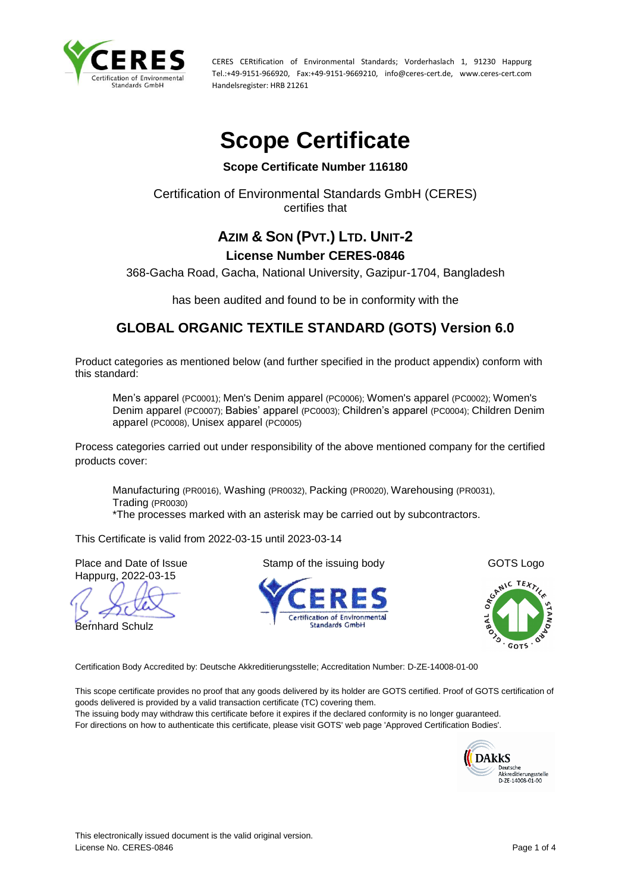

# **Scope Certificate**

### **Scope Certificate Number 116180**

### Certification of Environmental Standards GmbH (CERES) certifies that

## **AZIM & SON (PVT.) LTD. UNIT-2 License Number CERES-0846**

368-Gacha Road, Gacha, National University, Gazipur-1704, Bangladesh

has been audited and found to be in conformity with the

# **GLOBAL ORGANIC TEXTILE STANDARD (GOTS) Version 6.0**

Product categories as mentioned below (and further specified in the product appendix) conform with this standard:

Men's apparel (PC0001); Men's Denim apparel (PC0006); Women's apparel (PC0002); Women's Denim apparel (PC0007); Babies' apparel (PC0003); Children's apparel (PC0004); Children Denim apparel (PC0008), Unisex apparel (PC0005)

Process categories carried out under responsibility of the above mentioned company for the certified products cover:

Manufacturing (PR0016), Washing (PR0032), Packing (PR0020), Warehousing (PR0031), Trading (PR0030)

\*The processes marked with an asterisk may be carried out by subcontractors.

This Certificate is valid from 2022-03-15 until 2023-03-14

Happurg, 2022-03-15

Bernhard Schulz

Place and Date of Issue Stamp of the issuing body GOTS Logo





Certification Body Accredited by: Deutsche Akkreditierungsstelle; Accreditation Number: D-ZE-14008-01-00

This scope certificate provides no proof that any goods delivered by its holder are GOTS certified. Proof of GOTS certification of goods delivered is provided by a valid transaction certificate (TC) covering them.

The issuing body may withdraw this certificate before it expires if the declared conformity is no longer guaranteed. For directions on how to authenticate this certificate, please visit GOTS' web page 'Approved Certification Bodies'.

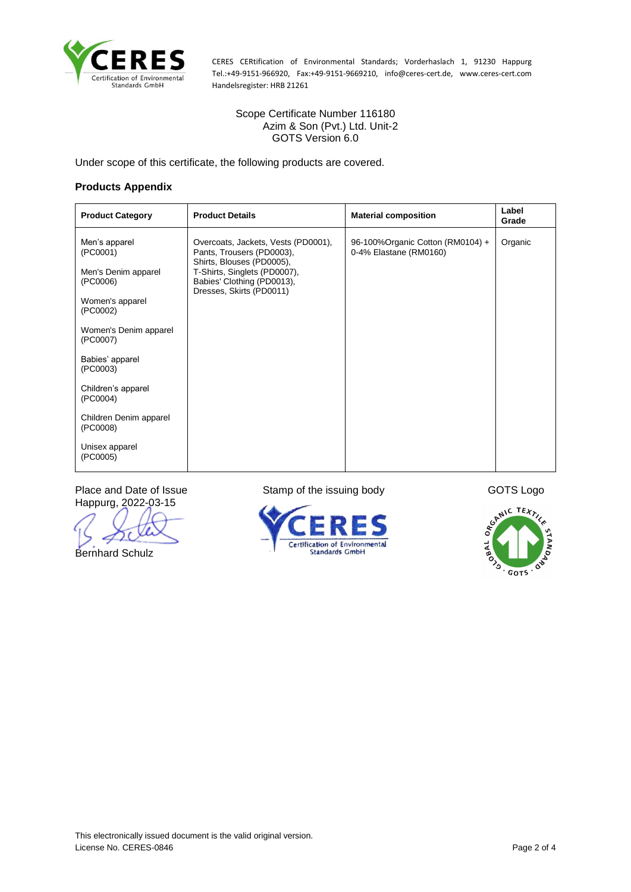

Scope Certificate Number 116180 Azim & Son (Pvt.) Ltd. Unit-2 GOTS Version 6.0

Under scope of this certificate, the following products are covered.

#### **Products Appendix**

| <b>Product Category</b>                                                                                                                                                                                                                                               | <b>Product Details</b>                                                                                                                                                                  | <b>Material composition</b>                                 | Label<br>Grade |
|-----------------------------------------------------------------------------------------------------------------------------------------------------------------------------------------------------------------------------------------------------------------------|-----------------------------------------------------------------------------------------------------------------------------------------------------------------------------------------|-------------------------------------------------------------|----------------|
| Men's apparel<br>(PC0001)<br>Men's Denim apparel<br>(PC0006)<br>Women's apparel<br>(PC0002)<br>Women's Denim apparel<br>(PC0007)<br>Babies' apparel<br>(PC0003)<br>Children's apparel<br>(PC0004)<br>Children Denim apparel<br>(PC0008)<br>Unisex apparel<br>(PC0005) | Overcoats, Jackets, Vests (PD0001),<br>Pants, Trousers (PD0003),<br>Shirts, Blouses (PD0005),<br>T-Shirts, Singlets (PD0007),<br>Babies' Clothing (PD0013),<br>Dresses, Skirts (PD0011) | 96-100% Organic Cotton (RM0104) +<br>0-4% Elastane (RM0160) | Organic        |

Happurg, 2022-03-15

Bernhard Schulz



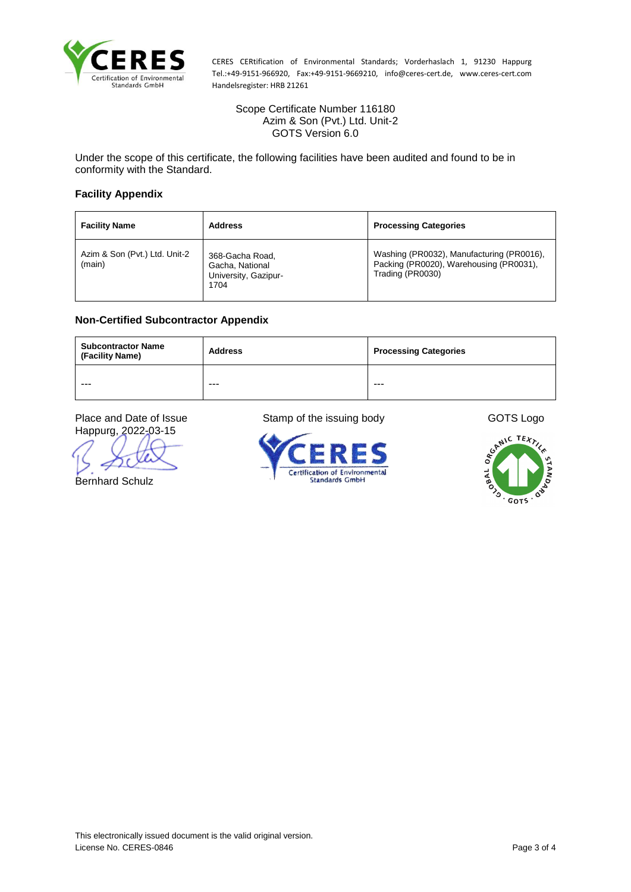

Scope Certificate Number 116180 Azim & Son (Pvt.) Ltd. Unit-2 GOTS Version 6.0

Under the scope of this certificate, the following facilities have been audited and found to be in conformity with the Standard.

#### **Facility Appendix**

| <b>Facility Name</b>                    | <b>Address</b>                                                     | <b>Processing Categories</b>                                                                             |
|-----------------------------------------|--------------------------------------------------------------------|----------------------------------------------------------------------------------------------------------|
| Azim & Son (Pvt.) Ltd. Unit-2<br>(main) | 368-Gacha Road,<br>Gacha, National<br>University, Gazipur-<br>1704 | Washing (PR0032), Manufacturing (PR0016),<br>Packing (PR0020), Warehousing (PR0031),<br>Trading (PR0030) |

#### **Non-Certified Subcontractor Appendix**

| <b>Subcontractor Name</b><br>(Facility Name) | <b>Address</b> | <b>Processing Categories</b> |  |
|----------------------------------------------|----------------|------------------------------|--|
| ---                                          | ---            | ---                          |  |

Happurg, 2022-03-15

Bernhard Schulz